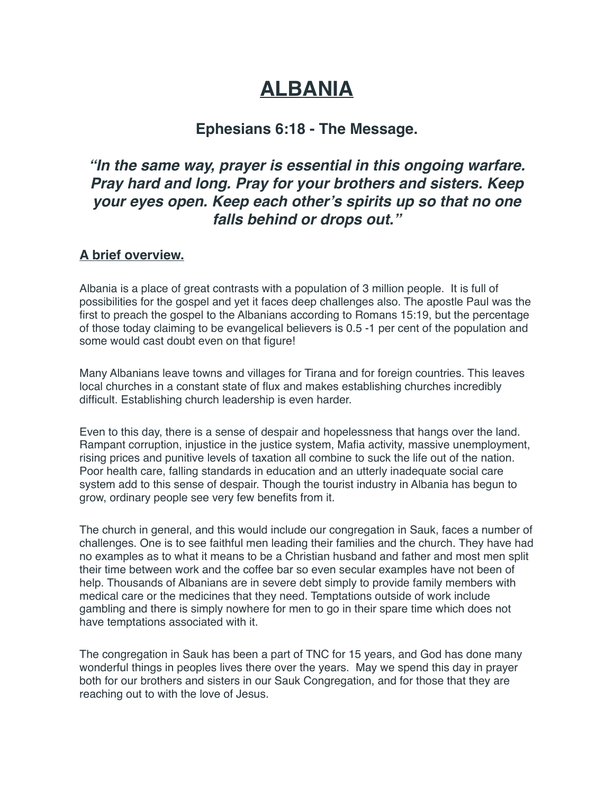# **ALBANIA**

## **Ephesians 6:18 - The Message.**

# *"In the same way, prayer is essential in this ongoing warfare. Pray hard and long. Pray for your brothers and sisters. Keep your eyes open. Keep each other's spirits up so that no one falls behind or drops out."*

#### **A brief overview.**

Albania is a place of great contrasts with a population of 3 million people. It is full of possibilities for the gospel and yet it faces deep challenges also. The apostle Paul was the first to preach the gospel to the Albanians according to Romans 15:19, but the percentage of those today claiming to be evangelical believers is 0.5 -1 per cent of the population and some would cast doubt even on that figure!

Many Albanians leave towns and villages for Tirana and for foreign countries. This leaves local churches in a constant state of flux and makes establishing churches incredibly difficult. Establishing church leadership is even harder.

Even to this day, there is a sense of despair and hopelessness that hangs over the land. Rampant corruption, injustice in the justice system, Mafia activity, massive unemployment, rising prices and punitive levels of taxation all combine to suck the life out of the nation. Poor health care, falling standards in education and an utterly inadequate social care system add to this sense of despair. Though the tourist industry in Albania has begun to grow, ordinary people see very few benefits from it.

The church in general, and this would include our congregation in Sauk, faces a number of challenges. One is to see faithful men leading their families and the church. They have had no examples as to what it means to be a Christian husband and father and most men split their time between work and the coffee bar so even secular examples have not been of help. Thousands of Albanians are in severe debt simply to provide family members with medical care or the medicines that they need. Temptations outside of work include gambling and there is simply nowhere for men to go in their spare time which does not have temptations associated with it.

The congregation in Sauk has been a part of TNC for 15 years, and God has done many wonderful things in peoples lives there over the years. May we spend this day in prayer both for our brothers and sisters in our Sauk Congregation, and for those that they are reaching out to with the love of Jesus.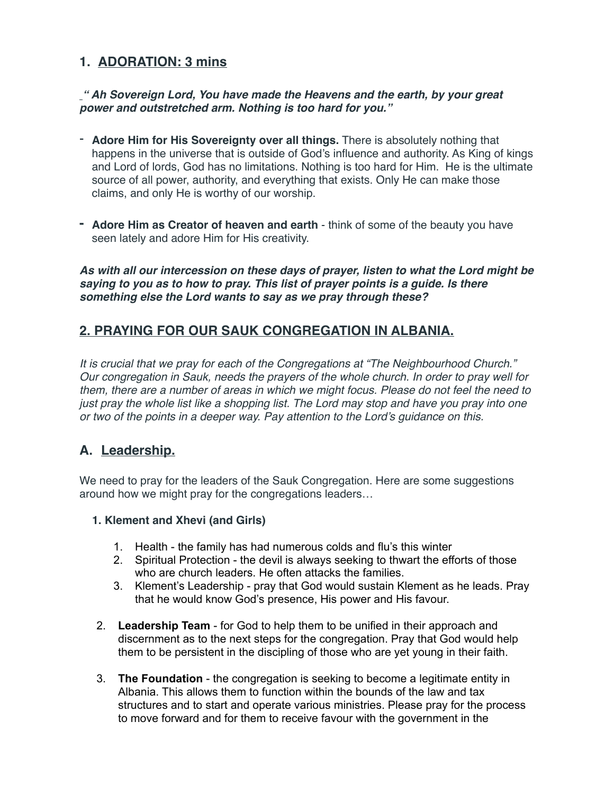### **1. ADORATION: 3 mins**

#### *" Ah Sovereign Lord, You have made the Heavens and the earth, by your great power and outstretched arm. Nothing is too hard for you."*

- **Adore Him for His Sovereignty over all things.** There is absolutely nothing that happens in the universe that is outside of God's influence and authority. As King of kings and Lord of lords, God has no limitations. Nothing is too hard for Him. He is the ultimate source of all power, authority, and everything that exists. Only He can make those claims, and only He is worthy of our worship.
- **- Adore Him as Creator of heaven and earth** think of some of the beauty you have seen lately and adore Him for His creativity.

*As with all our intercession on these days of prayer, listen to what the Lord might be saying to you as to how to pray. This list of prayer points is a guide. Is there something else the Lord wants to say as we pray through these?* 

### **2. PRAYING FOR OUR SAUK CONGREGATION IN ALBANIA.**

*It is crucial that we pray for each of the Congregations at "The Neighbourhood Church." Our congregation in Sauk, needs the prayers of the whole church. In order to pray well for them, there are a number of areas in which we might focus. Please do not feel the need to just pray the whole list like a shopping list. The Lord may stop and have you pray into one or two of the points in a deeper way. Pay attention to the Lord's guidance on this.* 

### **A. Leadership.**

We need to pray for the leaders of the Sauk Congregation. Here are some suggestions around how we might pray for the congregations leaders…

#### **1. Klement and Xhevi (and Girls)**

- 1. Health the family has had numerous colds and flu's this winter
- 2. Spiritual Protection the devil is always seeking to thwart the efforts of those who are church leaders. He often attacks the families.
- 3. Klement's Leadership pray that God would sustain Klement as he leads. Pray that he would know God's presence, His power and His favour.
- 2. **Leadership Team** for God to help them to be unified in their approach and discernment as to the next steps for the congregation. Pray that God would help them to be persistent in the discipling of those who are yet young in their faith.
- 3. **The Foundation**  the congregation is seeking to become a legitimate entity in Albania. This allows them to function within the bounds of the law and tax structures and to start and operate various ministries. Please pray for the process to move forward and for them to receive favour with the government in the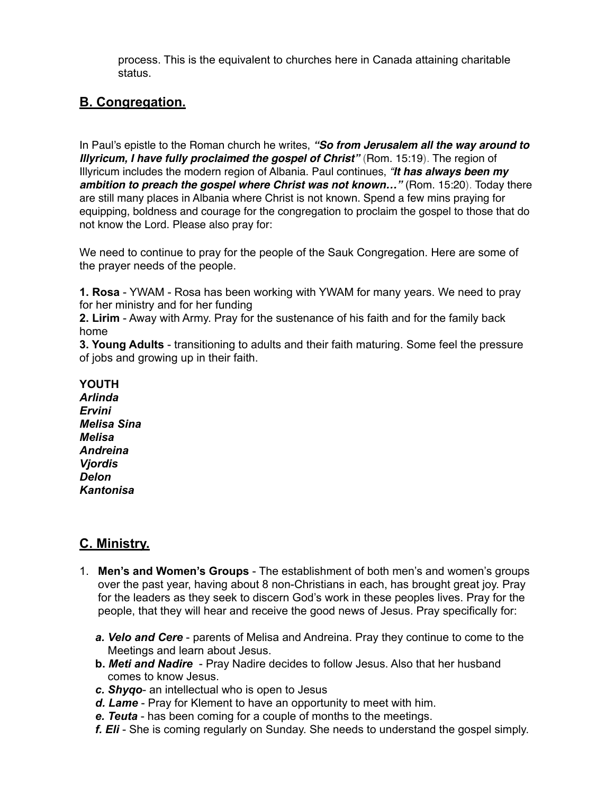process. This is the equivalent to churches here in Canada attaining charitable status.

## **B. Congregation.**

In Paul's epistle to the Roman church he writes, *"So from Jerusalem all the way around to Illyricum, I have fully proclaimed the gospel of Christ"* (Rom. 15:19). The region of Illyricum includes the modern region of Albania. Paul continues, *"It has always been my*  ambition to preach the gospel where Christ was not known..." (Rom. 15:20). Today there are still many places in Albania where Christ is not known. Spend a few mins praying for equipping, boldness and courage for the congregation to proclaim the gospel to those that do not know the Lord. Please also pray for:

We need to continue to pray for the people of the Sauk Congregation. Here are some of the prayer needs of the people.

**1. Rosa** - YWAM - Rosa has been working with YWAM for many years. We need to pray for her ministry and for her funding

**2. Lirim** - Away with Army. Pray for the sustenance of his faith and for the family back home

**3. Young Adults** - transitioning to adults and their faith maturing. Some feel the pressure of jobs and growing up in their faith.

#### **YOUTH**

*Arlinda Ervini Melisa Sina Melisa Andreina Vjordis Delon Kantonisa* 

### **C. Ministry.**

- 1. **Men's and Women's Groups**  The establishment of both men's and women's groups over the past year, having about 8 non-Christians in each, has brought great joy. Pray for the leaders as they seek to discern God's work in these peoples lives. Pray for the people, that they will hear and receive the good news of Jesus. Pray specifically for:
	- *a. Velo and Cere* parents of Melisa and Andreina. Pray they continue to come to the Meetings and learn about Jesus.
	- **b.** *Meti and Nadire*  Pray Nadire decides to follow Jesus. Also that her husband comes to know Jesus.
	- *c. Shyqo* an intellectual who is open to Jesus
	- *d. Lame*  Pray for Klement to have an opportunity to meet with him.
	- *e. Teuta*  has been coming for a couple of months to the meetings.
	- *f. Eli*  She is coming regularly on Sunday. She needs to understand the gospel simply.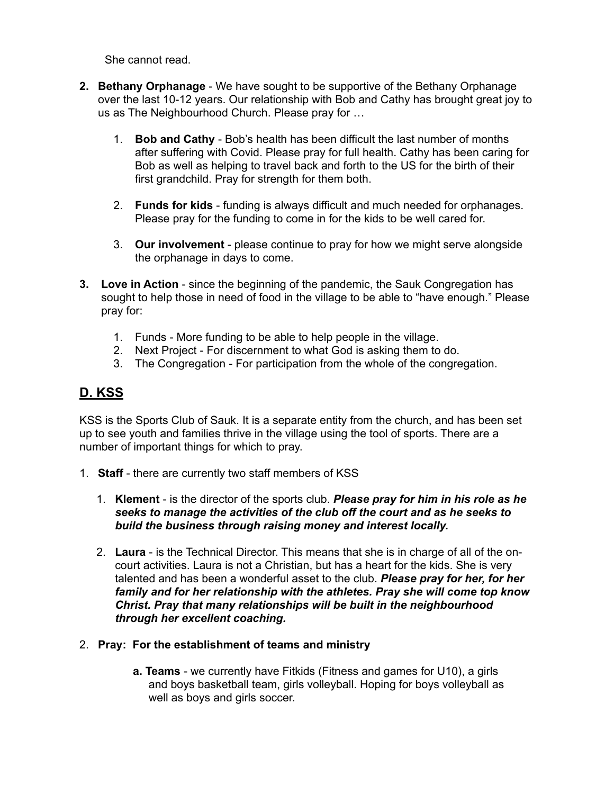She cannot read.

- **2. Bethany Orphanage** We have sought to be supportive of the Bethany Orphanage over the last 10-12 years. Our relationship with Bob and Cathy has brought great joy to us as The Neighbourhood Church. Please pray for …
	- 1. **Bob and Cathy**  Bob's health has been difficult the last number of months after suffering with Covid. Please pray for full health. Cathy has been caring for Bob as well as helping to travel back and forth to the US for the birth of their first grandchild. Pray for strength for them both.
	- 2. **Funds for kids**  funding is always difficult and much needed for orphanages. Please pray for the funding to come in for the kids to be well cared for.
	- 3. **Our involvement**  please continue to pray for how we might serve alongside the orphanage in days to come.
- **3. Love in Action** since the beginning of the pandemic, the Sauk Congregation has sought to help those in need of food in the village to be able to "have enough." Please pray for:
	- 1. Funds More funding to be able to help people in the village.
	- 2. Next Project For discernment to what God is asking them to do.
	- 3. The Congregation For participation from the whole of the congregation.

# **D. KSS**

KSS is the Sports Club of Sauk. It is a separate entity from the church, and has been set up to see youth and families thrive in the village using the tool of sports. There are a number of important things for which to pray.

- 1. **Staff**  there are currently two staff members of KSS
	- 1. **Klement** is the director of the sports club. *Please pray for him in his role as he seeks to manage the activities of the club off the court and as he seeks to build the business through raising money and interest locally.*
	- 2. **Laura**  is the Technical Director. This means that she is in charge of all of the oncourt activities. Laura is not a Christian, but has a heart for the kids. She is very talented and has been a wonderful asset to the club. *Please pray for her, for her family and for her relationship with the athletes. Pray she will come top know Christ. Pray that many relationships will be built in the neighbourhood through her excellent coaching.*
- 2. **Pray: For the establishment of teams and ministry** 
	- **a. Teams** we currently have Fitkids (Fitness and games for U10), a girls and boys basketball team, girls volleyball. Hoping for boys volleyball as well as boys and girls soccer.